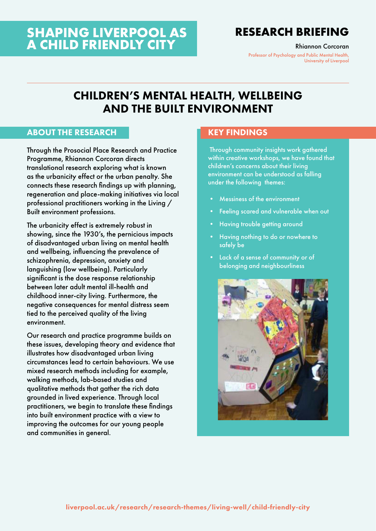# **SHAPING LIVERPOOL AS A CHILD FRIENDLY CITY**

# **RESEARCH BRIEFING**

Rhiannon Corcoran

Professor of Psychology and Public Mental Health, University of Liverpool

# CHILDREN'S MENTAL HEALTH, WELLBEING AND THE BUILT ENVIRONMENT

### ABOUT THE RESEARCH

Through the Prosocial Place Research and Practice Programme, Rhiannon Corcoran directs translational research exploring what is known as the urbanicity effect or the urban penalty. She connects these research findings up with planning, regeneration and place-making initiatives via local professional practitioners working in the Living / Built environment professions.

The urbanicity effect is extremely robust in showing, since the 1930's, the pernicious impacts of disadvantaged urban living on mental health and wellbeing, influencing the prevalence of schizophrenia, depression, anxiety and languishing (low wellbeing). Particularly significant is the dose response relationship between later adult mental ill-health and childhood inner-city living. Furthermore, the negative consequences for mental distress seem tied to the perceived quality of the living environment.

Our research and practice programme builds on these issues, developing theory and evidence that illustrates how disadvantaged urban living circumstances lead to certain behaviours. We use mixed research methods including for example, walking methods, lab-based studies and qualitative methods that gather the rich data grounded in lived experience. Through local practitioners, we begin to translate these findings into built environment practice with a view to improving the outcomes for our young people and communities in general.

### KEY FINDINGS

 Through community insights work gathered within creative workshops, we have found that children's concerns about their living environment can be understood as falling under the following themes:

- Messiness of the environment
- Feeling scared and vulnerable when out
- Having trouble getting around
- Having nothing to do or nowhere to safely be
- Lack of a sense of community or of belonging and neighbourliness

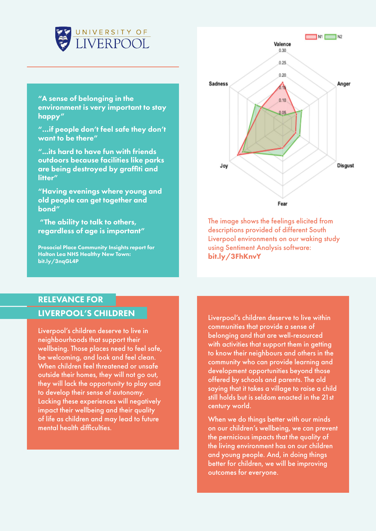

"A sense of belonging in the environment is very important to stay happy"

"…if people don't feel safe they don't want to be there"

"...its hard to have fun with friends outdoors because facilities like parks are being destroyed by graffiti and litter"

"Having evenings where young and old people can get together and bond"

 "The ability to talk to others, regardless of age is important"

Prosocial Place Community Insights report for Halton Lea NHS Healthy New Town: [bit.ly/3nqGL4P](https://www.prosocialplace.co.uk/project-gallery/enabling/)



The image shows the feelings elicited from descriptions provided of different South Liverpool environments on our waking study using Sentiment Analysis software: [bit.ly/3FhKnvY](https://journals.plos.org/plosone/article/comments?id=10.1371/journal.pone.0202412)

# RELEVANCE FOR LIVERPOOL'S CHILDREN

Liverpool's children deserve to live in neighbourhoods that support their wellbeing. Those places need to feel safe, be welcoming, and look and feel clean. When children feel threatened or unsafe outside their homes, they will not go out, they will lack the opportunity to play and to develop their sense of autonomy. Lacking these experiences will negatively impact their wellbeing and their quality of life as children and may lead to future mental health difficulties.

Liverpool's children deserve to live within communities that provide a sense of belonging and that are well-resourced with activities that support them in getting to know their neighbours and others in the community who can provide learning and development opportunities beyond those offered by schools and parents. The old saying that it takes a village to raise a child still holds but is seldom enacted in the 21st century world.

When we do things better with our minds on our children's wellbeing, we can prevent the pernicious impacts that the quality of the living environment has on our children and young people. And, in doing things better for children, we will be improving outcomes for everyone.